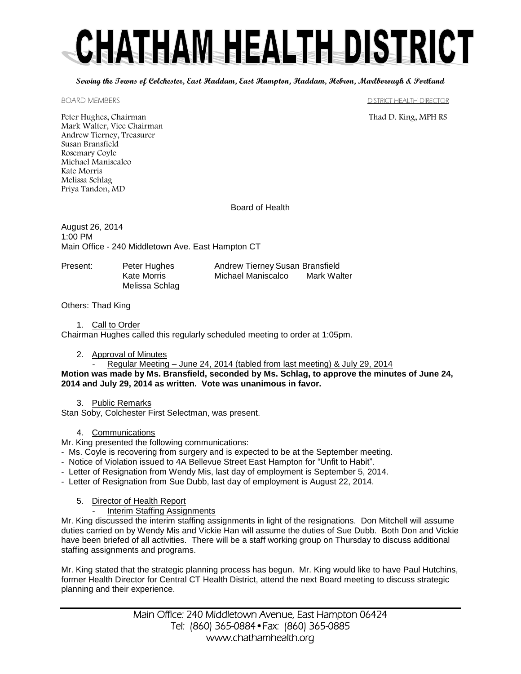**Serving the Towns of Colchester, East Haddam, East Hampton, Haddam, Hebron, Marlborough & Portland**

#### BOARD MEMBERS **EXECUTE IN THE SET OF STATE IN THE SET OF STATE IN THE SET OF STATE IN THE SET OF STATE IN THE STATE IN THE STATE IN THE STATE IN THE STATE IN THE STATE IN THE STATE IN THE STATE IN THE STATE IN THE STATE IN**

Peter Hughes, Chairman Thad D. King, MPH RS Mark Walter, Vice Chairman Andrew Tierney, Treasurer Susan Bransfield Rosemary Coyle Michael Maniscalco Kate Morris Melissa Schlag Priya Tandon, MD

Board of Health

August 26, 2014 1:00 PM Main Office - 240 Middletown Ave. East Hampton CT

Melissa Schlag

Present: Peter Hughes Andrew Tierney Susan Bransfield Kate Morris **Michael Maniscalco** Mark Walter

Others: Thad King

1. Call to Order

Chairman Hughes called this regularly scheduled meeting to order at 1:05pm.

2. Approval of Minutes

Regular Meeting - June 24, 2014 (tabled from last meeting) & July 29, 2014

**Motion was made by Ms. Bransfield, seconded by Ms. Schlag, to approve the minutes of June 24, 2014 and July 29, 2014 as written. Vote was unanimous in favor.**

3. Public Remarks

Stan Soby, Colchester First Selectman, was present.

## 4. Communications

Mr. King presented the following communications:

- Ms. Coyle is recovering from surgery and is expected to be at the September meeting.
- Notice of Violation issued to 4A Bellevue Street East Hampton for "Unfit to Habit".
- Letter of Resignation from Wendy Mis, last day of employment is September 5, 2014.
- Letter of Resignation from Sue Dubb, last day of employment is August 22, 2014.

## 5. Director of Health Report

Interim Staffing Assignments

Mr. King discussed the interim staffing assignments in light of the resignations. Don Mitchell will assume duties carried on by Wendy Mis and Vickie Han will assume the duties of Sue Dubb. Both Don and Vickie have been briefed of all activities. There will be a staff working group on Thursday to discuss additional staffing assignments and programs.

Mr. King stated that the strategic planning process has begun. Mr. King would like to have Paul Hutchins, former Health Director for Central CT Health District, attend the next Board meeting to discuss strategic planning and their experience.